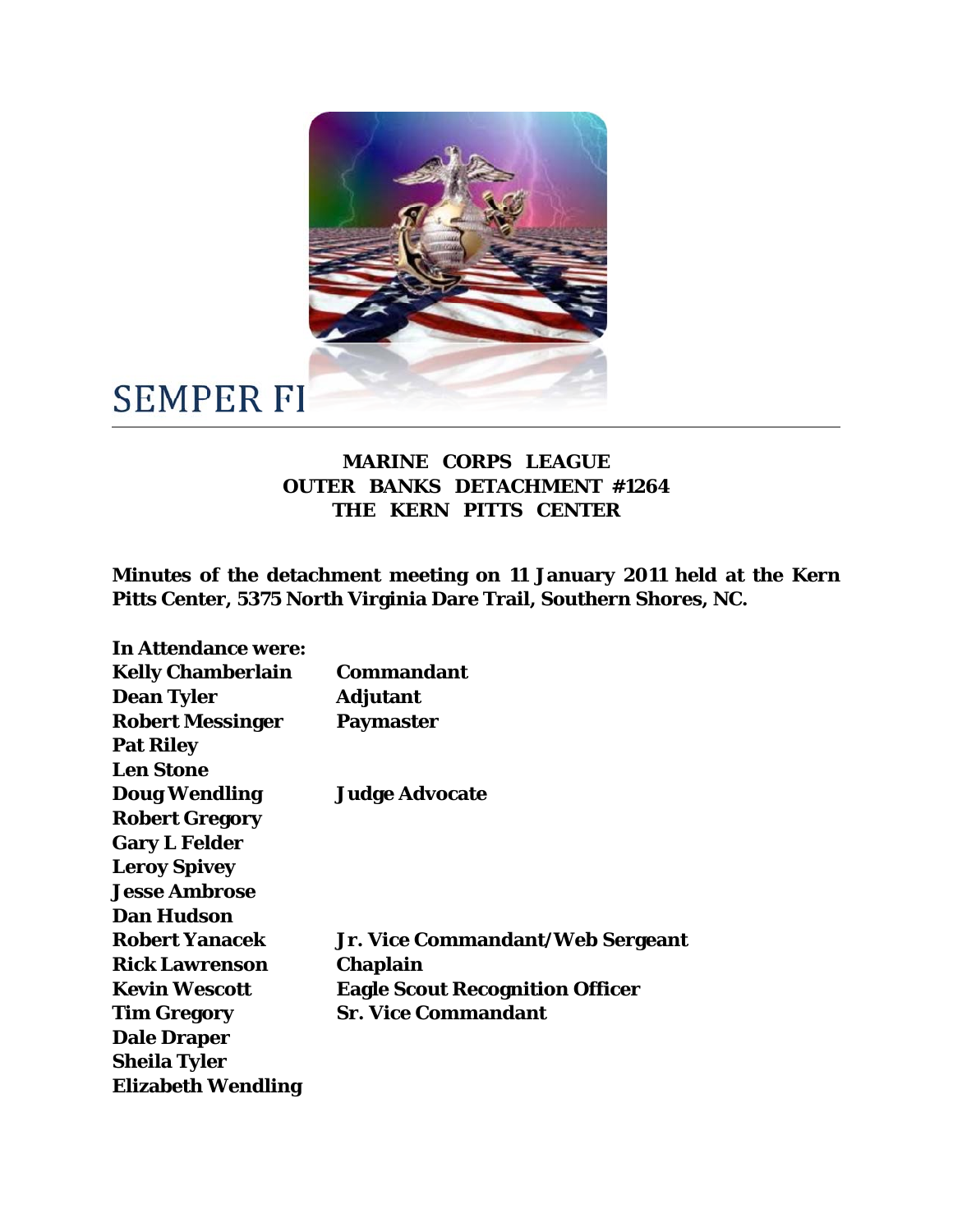

## **SEMPER FI**

## **MARINE CORPS LEAGUE OUTER BANKS DETACHMENT #1264 THE KERN PITTS CENTER**

**Minutes of the detachment meeting on 11 January 2011 held at the Kern Pitts Center, 5375 North Virginia Dare Trail, Southern Shores, NC.**

| <b>In Attendance were:</b> |                                        |
|----------------------------|----------------------------------------|
| <b>Kelly Chamberlain</b>   | <b>Commandant</b>                      |
| <b>Dean Tyler</b>          | <b>Adjutant</b>                        |
| <b>Robert Messinger</b>    | <b>Paymaster</b>                       |
| <b>Pat Riley</b>           |                                        |
| <b>Len Stone</b>           |                                        |
| <b>Doug Wendling</b>       | <b>Judge Advocate</b>                  |
| <b>Robert Gregory</b>      |                                        |
| <b>Gary L Felder</b>       |                                        |
| <b>Leroy Spivey</b>        |                                        |
| <b>Jesse Ambrose</b>       |                                        |
| <b>Dan Hudson</b>          |                                        |
| <b>Robert Yanacek</b>      | Jr. Vice Commandant/Web Sergeant       |
| <b>Rick Lawrenson</b>      | Chaplain                               |
| <b>Kevin Wescott</b>       | <b>Eagle Scout Recognition Officer</b> |
| <b>Tim Gregory</b>         | <b>Sr. Vice Commandant</b>             |
| <b>Dale Draper</b>         |                                        |
| <b>Sheila Tyler</b>        |                                        |
| <b>Elizabeth Wendling</b>  |                                        |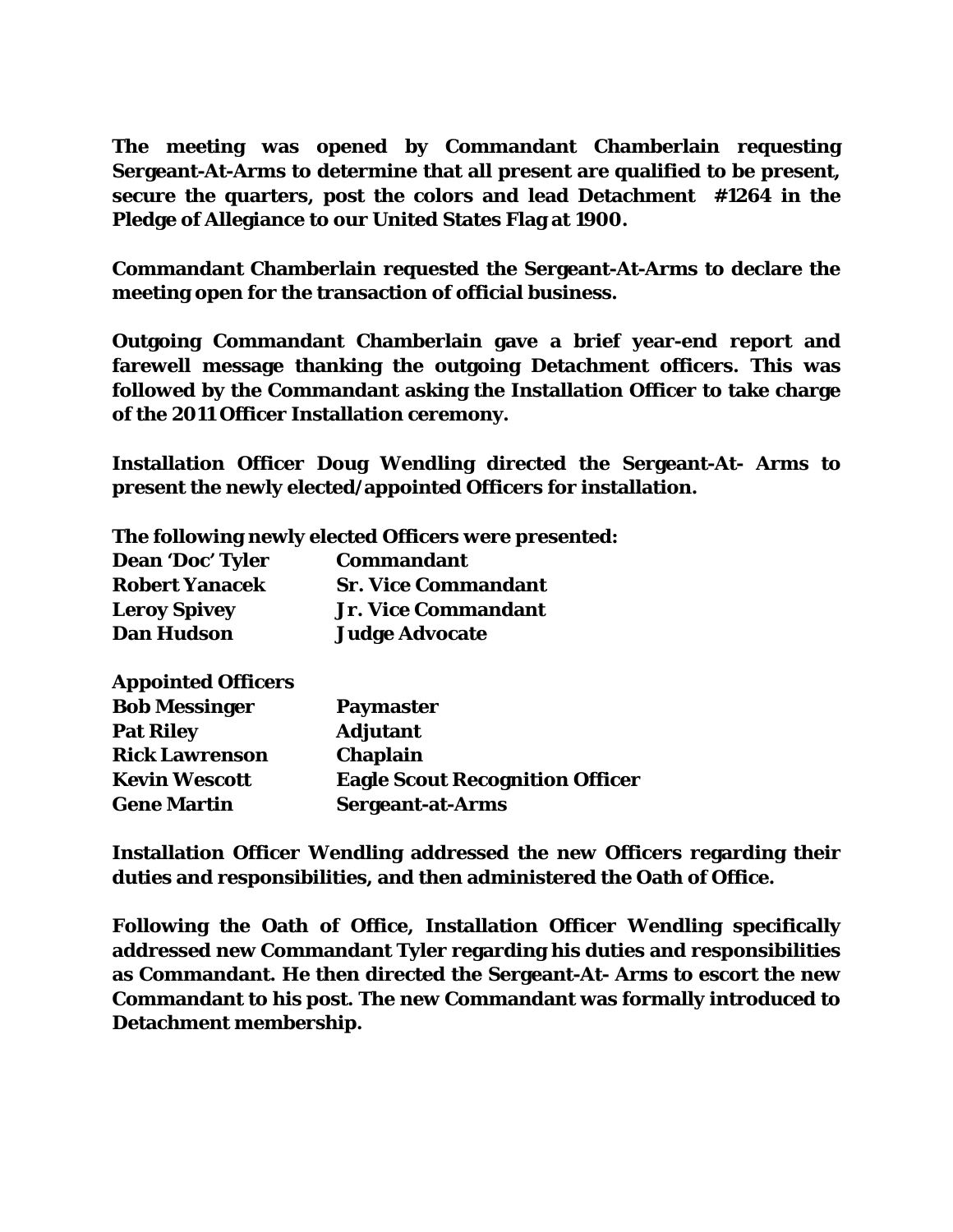**The meeting was opened by Commandant Chamberlain requesting Sergeant-At-Arms to determine that all present are qualified to be present, secure the quarters, post the colors and lead Detachment #1264 in the Pledge of Allegiance to our United States Flag at 1900.**

**Commandant Chamberlain requested the Sergeant-At-Arms to declare the meeting open for the transaction of official business.**

**Outgoing Commandant Chamberlain gave a brief year-end report and farewell message thanking the outgoing Detachment officers. This was followed by the Commandant asking the Installation Officer to take charge of the 2011 Officer Installation ceremony.**

**Installation Officer Doug Wendling directed the Sergeant-At- Arms to present the newly elected/appointed Officers for installation.**

|                         | The following newly elected Officers were presented: |
|-------------------------|------------------------------------------------------|
| <b>Dean 'Doc' Tyler</b> | <b>Commandant</b>                                    |
| <b>Robert Yanacek</b>   | <b>Sr. Vice Commandant</b>                           |
| <b>Leroy Spivey</b>     | <b>Jr. Vice Commandant</b>                           |
| <b>Dan Hudson</b>       | <b>Judge Advocate</b>                                |
|                         |                                                      |

**Appointed Officers**

| <b>Paymaster</b>                       |
|----------------------------------------|
| <b>Adjutant</b>                        |
| <b>Chaplain</b>                        |
| <b>Eagle Scout Recognition Officer</b> |
| <b>Sergeant-at-Arms</b>                |
|                                        |

**Installation Officer Wendling addressed the new Officers regarding their duties and responsibilities, and then administered the Oath of Office.**

**Following the Oath of Office, Installation Officer Wendling specifically addressed new Commandant Tyler regarding his duties and responsibilities as Commandant. He then directed the Sergeant-At- Arms to escort the new Commandant to his post. The new Commandant was formally introduced to Detachment membership.**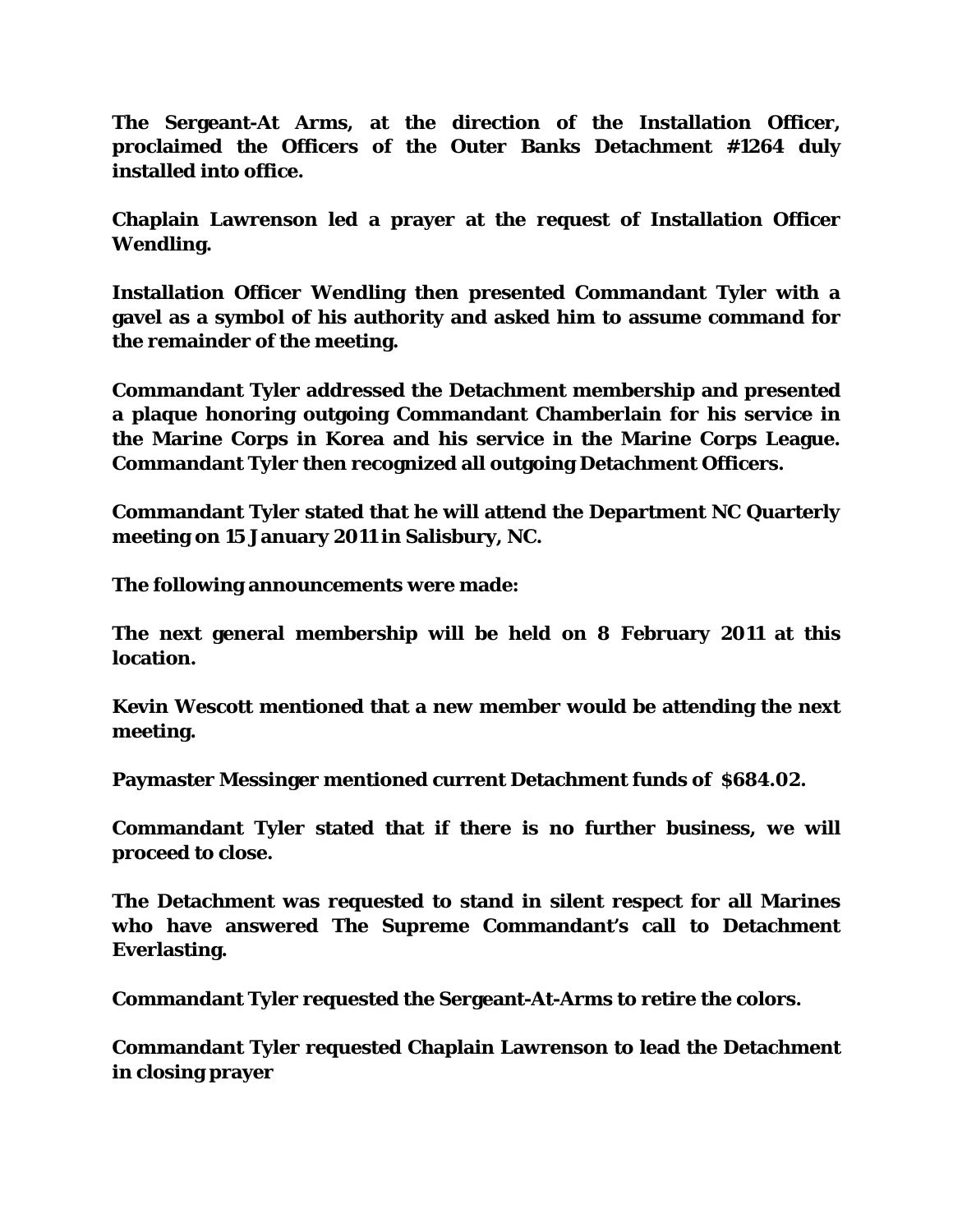**The Sergeant-At Arms, at the direction of the Installation Officer, proclaimed the Officers of the Outer Banks Detachment #1264 duly installed into office.**

**Chaplain Lawrenson led a prayer at the request of Installation Officer Wendling.**

**Installation Officer Wendling then presented Commandant Tyler with a gavel as a symbol of his authority and asked him to assume command for the remainder of the meeting.**

**Commandant Tyler addressed the Detachment membership and presented a plaque honoring outgoing Commandant Chamberlain for his service in the Marine Corps in Korea and his service in the Marine Corps League. Commandant Tyler then recognized all outgoing Detachment Officers.**

**Commandant Tyler stated that he will attend the Department NC Quarterly meeting on 15 January 2011 in Salisbury, NC.**

**The following announcements were made:**

**The next general membership will be held on 8 February 2011 at this location.**

**Kevin Wescott mentioned that a new member would be attending the next meeting.**

**Paymaster Messinger mentioned current Detachment funds of \$684.02.**

**Commandant Tyler stated that if there is no further business, we will proceed to close.**

**The Detachment was requested to stand in silent respect for all Marines who have answered The Supreme Commandant's call to Detachment Everlasting.**

**Commandant Tyler requested the Sergeant-At-Arms to retire the colors.**

**Commandant Tyler requested Chaplain Lawrenson to lead the Detachment in closing prayer**